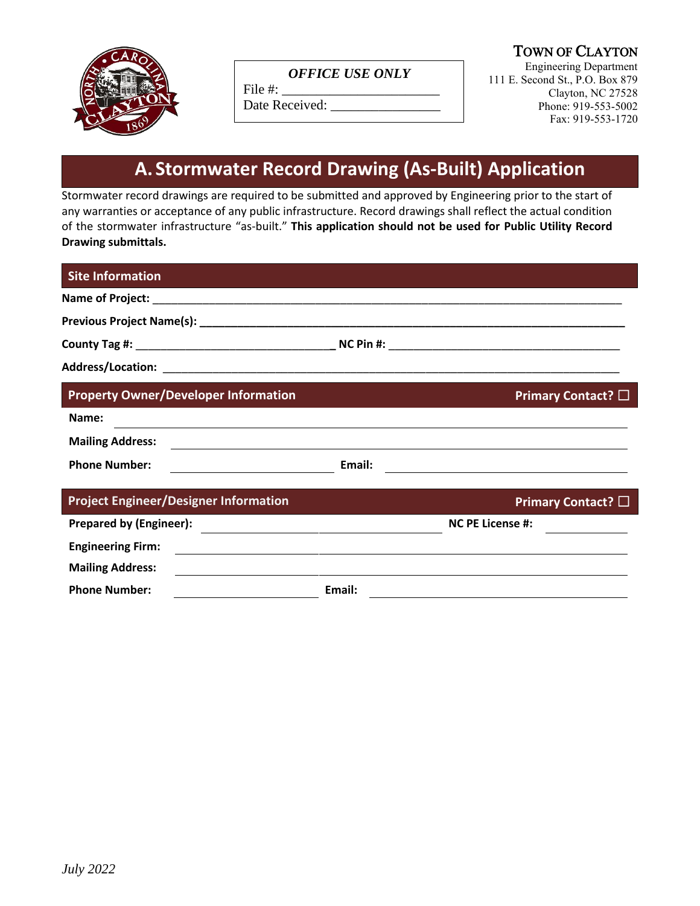

### *OFFICE USE ONLY*

File  $#$ : Date Received: TOWN OF CLAYTON

Engineering Department 111 E. Second St., P.O. Box 879 Clayton, NC 27528 Phone: 919-553-5002 Fax: 919-553-1720

# **A. Stormwater Record Drawing (As-Built) Application**

Stormwater record drawings are required to be submitted and approved by Engineering prior to the start of any warranties or acceptance of any public infrastructure. Record drawings shall reflect the actual condition of the stormwater infrastructure "as-built." **This application should not be used for Public Utility Record Drawing submittals.**

| <b>Site Information</b>                      |        |                                                                                                                       |
|----------------------------------------------|--------|-----------------------------------------------------------------------------------------------------------------------|
|                                              |        |                                                                                                                       |
|                                              |        |                                                                                                                       |
|                                              |        |                                                                                                                       |
|                                              |        |                                                                                                                       |
| <b>Property Owner/Developer Information</b>  |        | Primary Contact? □                                                                                                    |
| Name:                                        |        | ,我们也不会有什么。""我们的人,我们也不会有什么?""我们的人,我们也不会有什么?""我们的人,我们也不会有什么?""我们的人,我们也不会有什么?""我们的人                                      |
| <b>Mailing Address:</b>                      |        |                                                                                                                       |
| <b>Phone Number:</b>                         | Email: | <u> 1989 - Johann Stoff, deutscher Stoff, der Stoff, der Stoff, der Stoff, der Stoff, der Stoff, der Stoff, der S</u> |
| <b>Project Engineer/Designer Information</b> |        | Primary Contact? $\square$                                                                                            |
| <b>Prepared by (Engineer):</b>               |        | <b>NC PE License #:</b>                                                                                               |
| <b>Engineering Firm:</b>                     |        | <u> 1989 - Jan James James Barnett, fransk politik (d. 1989)</u>                                                      |
| <b>Mailing Address:</b>                      |        |                                                                                                                       |
| <b>Phone Number:</b>                         | Email: |                                                                                                                       |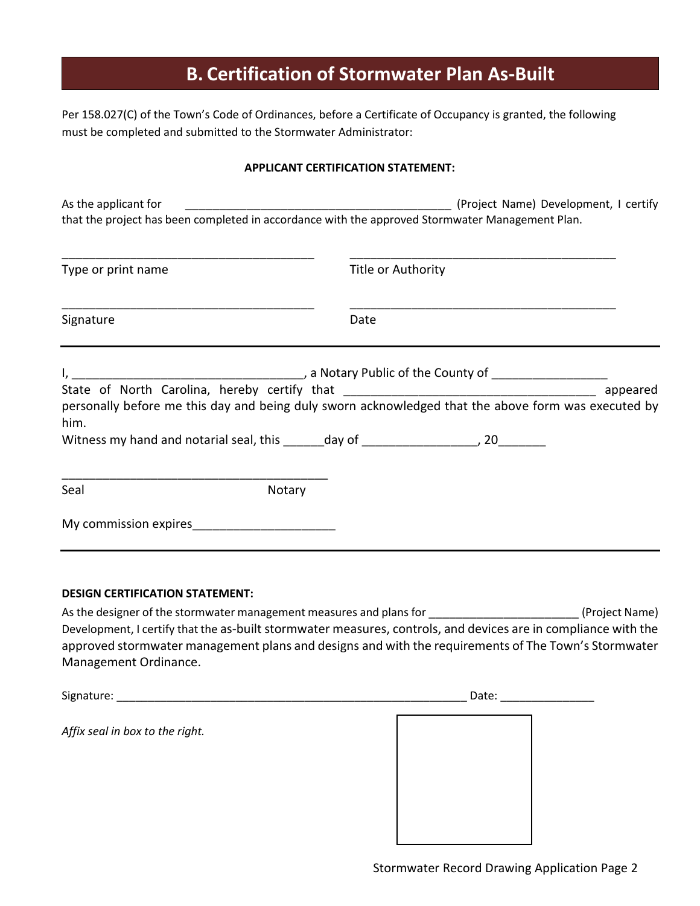# **B. Certification of Stormwater Plan As-Built**

Per 158.027(C) of the Town's Code of Ordinances, before a Certificate of Occupancy is granted, the following must be completed and submitted to the Stormwater Administrator:

### **APPLICANT CERTIFICATION STATEMENT:**

| As the applicant for                                                                                        | that the project has been completed in accordance with the approved Stormwater Management Plan. |                            |          |  |
|-------------------------------------------------------------------------------------------------------------|-------------------------------------------------------------------------------------------------|----------------------------|----------|--|
| Type or print name                                                                                          |                                                                                                 | Title or Authority<br>Date |          |  |
| Signature                                                                                                   |                                                                                                 |                            |          |  |
|                                                                                                             |                                                                                                 |                            | appeared |  |
| personally before me this day and being duly sworn acknowledged that the above form was executed by<br>him. |                                                                                                 |                            |          |  |
| Witness my hand and notarial seal, this _______ day of ________________________, 20                         |                                                                                                 |                            |          |  |
| Seal                                                                                                        | Notary                                                                                          |                            |          |  |
| My commission expires <b>My commission</b> expires                                                          |                                                                                                 |                            |          |  |

### **DESIGN CERTIFICATION STATEMENT:**

As the designer of the stormwater management measures and plans for \_\_\_\_\_\_\_\_\_\_\_\_\_\_\_\_\_\_\_\_\_\_\_\_\_\_\_\_\_(Project Name) Development, I certify that the as-built stormwater measures, controls, and devices are in compliance with the approved stormwater management plans and designs and with the requirements of The Town's Stormwater Management Ordinance.

| Signature:                      | Date: |  |
|---------------------------------|-------|--|
| Affix seal in box to the right. |       |  |
|                                 |       |  |
|                                 |       |  |
|                                 |       |  |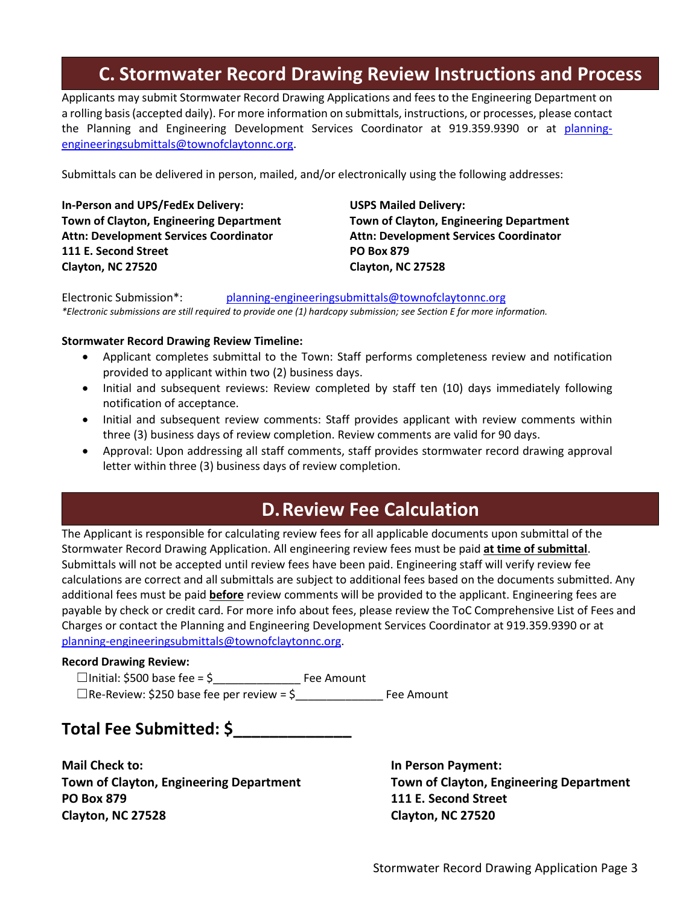## **C. Stormwater Record Drawing Review Instructions and Process**

Applicants may submit Stormwater Record Drawing Applications and fees to the Engineering Department on a rolling basis (accepted daily). For more information on submittals, instructions, or processes, please contact the Planning and Engineering Development Services Coordinator at 919.359.9390 or at [planning](mailto:planning-engineeringsubmittals@townofclaytonnc.org)[engineeringsubmittals@townofclaytonnc.org.](mailto:planning-engineeringsubmittals@townofclaytonnc.org)

Submittals can be delivered in person, mailed, and/or electronically using the following addresses:

**In-Person and UPS/FedEx Delivery: USPS Mailed Delivery: Town of Clayton, Engineering Department Town of Clayton, Engineering Department Attn: Development Services Coordinator Attn: Development Services Coordinator 111 E. Second Street PO Box 879 Clayton, NC 27520 Clayton, NC 27528**

Electronic Submission\*: [planning-engineeringsubmittals@townofclaytonnc.org](mailto:planning-engineeringsubmittals@townofclaytonnc.org) *\*Electronic submissions are still required to provide one (1) hardcopy submission; see Section E for more information.*

#### **Stormwater Record Drawing Review Timeline:**

- Applicant completes submittal to the Town: Staff performs completeness review and notification provided to applicant within two (2) business days.
- Initial and subsequent reviews: Review completed by staff ten (10) days immediately following notification of acceptance.
- Initial and subsequent review comments: Staff provides applicant with review comments within three (3) business days of review completion. Review comments are valid for 90 days.
- Approval: Upon addressing all staff comments, staff provides stormwater record drawing approval letter within three (3) business days of review completion.

## **D.Review Fee Calculation**

The Applicant is responsible for calculating review fees for all applicable documents upon submittal of the Stormwater Record Drawing Application. All engineering review fees must be paid **at time of submittal**. Submittals will not be accepted until review fees have been paid. Engineering staff will verify review fee calculations are correct and all submittals are subject to additional fees based on the documents submitted. Any additional fees must be paid **before** review comments will be provided to the applicant. Engineering fees are payable by check or credit card. For more info about fees, please review the ToC Comprehensive List of Fees and Charges or contact the Planning and Engineering Development Services Coordinator at 919.359.9390 or at [planning-engineeringsubmittals@townofclaytonnc.org.](mailto:planning-engineeringsubmittals@townofclaytonnc.org)

#### **Record Drawing Review:**

 ☐Initial: \$500 base fee = \$\_\_\_\_\_\_\_\_\_\_\_\_\_\_ Fee Amount ☐Re-Review: \$250 base fee per review = \$\_\_\_\_\_\_\_\_\_\_\_\_\_\_ Fee Amount

## **Total Fee Submitted: \$\_\_\_\_\_\_\_\_\_\_\_\_\_**

**Mail Check to: In Person Payment: Town of Clayton, Engineering Department Town of Clayton, Engineering Department PO Box 879 111 E. Second Street Clayton, NC 27528 Clayton, NC 27520**